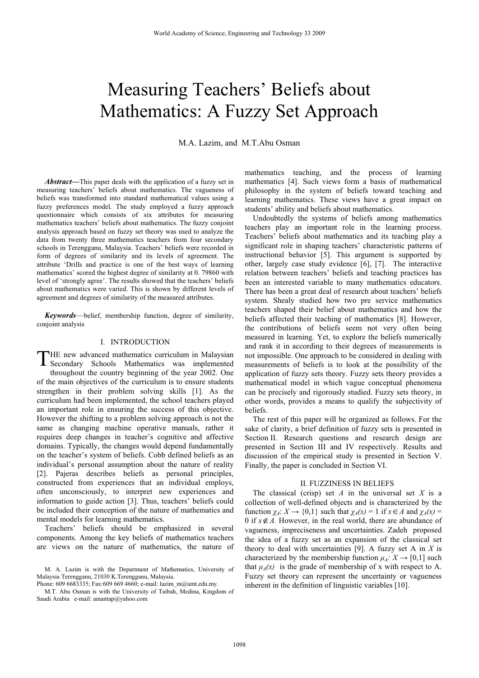# Measuring Teachers' Beliefs about Mathematics: A Fuzzy Set Approach

M.A. Lazim, and M.T.Abu Osman

*Abstract***—**This paper deals with the application of a fuzzy set in measuring teachers' beliefs about mathematics. The vagueness of beliefs was transformed into standard mathematical values using a fuzzy preferences model. The study employed a fuzzy approach questionnaire which consists of six attributes for measuring mathematics teachers' beliefs about mathematics. The fuzzy conjoint analysis approach based on fuzzy set theory was used to analyze the data from twenty three mathematics teachers from four secondary schools in Terengganu, Malaysia. Teachers' beliefs were recorded in form of degrees of similarity and its levels of agreement. The attribute 'Drills and practice is one of the best ways of learning mathematics' scored the highest degree of similarity at 0. 79860 with level of 'strongly agree'. The results showed that the teachers' beliefs about mathematics were varied. This is shown by different levels of agreement and degrees of similarity of the measured attributes.

*Keywords*—belief, membership function, degree of similarity, conjoint analysis

# I. INTRODUCTION

HE new advanced mathematics curriculum in Malaysian THE new advanced mathematics curriculum in Malaysian<br>Secondary Schools Mathematics was implemented throughout the country beginning of the year 2002. One of the main objectives of the curriculum is to ensure students strengthen in their problem solving skills [1]. As the curriculum had been implemented, the school teachers played an important role in ensuring the success of this objective. However the shifting to a problem solving approach is not the same as changing machine operative manuals, rather it requires deep changes in teacher's cognitive and affective domains. Typically, the changes would depend fundamentally on the teacher's system of beliefs. Cobb defined beliefs as an individual's personal assumption about the nature of reality [2]. Pajeras describes beliefs as personal principles, constructed from experiences that an individual employs, often unconsciously, to interpret new experiences and information to guide action [3]. Thus, teachers' beliefs could be included their conception of the nature of mathematics and mental models for learning mathematics.

Teachers' beliefs should be emphasized in several components. Among the key beliefs of mathematics teachers are views on the nature of mathematics, the nature of

M. A. Lazim is with the Department of Mathematics, University of Malaysia Terengganu, 21030 K.Terengganu, Malaysia.

Phone: 609 6683335; Fax:609 669 4660; e-mail: lazim\_m@umt.edu.my.

M.T. Abu Osman is with the University of Taibah, Medina, Kingdom of Saudi Arabia e-mail: amantap@yahoo.com

mathematics teaching, and the process of learning mathematics [4]. Such views form a basis of mathematical philosophy in the system of beliefs toward teaching and learning mathematics. These views have a great impact on students' ability and beliefs about mathematics.

Undoubtedly the systems of beliefs among mathematics teachers play an important role in the learning process. Teachers' beliefs about mathematics and its teaching play a significant role in shaping teachers' characteristic patterns of instructional behavior [5]. This argument is supported by other, largely case study evidence [6], [7]. The interactive relation between teachers' beliefs and teaching practices has been an interested variable to many mathematics educators. There has been a great deal of research about teachers' beliefs system. Shealy studied how two pre service mathematics teachers shaped their belief about mathematics and how the beliefs affected their teaching of mathematics [8]. However, the contributions of beliefs seem not very often being measured in learning. Yet, to explore the beliefs numerically and rank it in according to their degrees of measurements is not impossible. One approach to be considered in dealing with measurements of beliefs is to look at the possibility of the application of fuzzy sets theory. Fuzzy sets theory provides a mathematical model in which vague conceptual phenomena can be precisely and rigorously studied. Fuzzy sets theory, in other words, provides a means to qualify the subjectivity of beliefs.

The rest of this paper will be organized as follows. For the sake of clarity, a brief definition of fuzzy sets is presented in Section II. Research questions and research design are presented in Section III and IV respectively. Results and discussion of the empirical study is presented in Section V. Finally, the paper is concluded in Section VI.

### II. FUZZINESS IN BELIEFS

The classical (crisp) set *A* in the universal set *X* is a collection of well-defined objects and is characterized by the function  $\chi_A: X \to \{0,1\}$  such that  $\chi_A(x) = 1$  if  $x \in A$  and  $\chi_A(x) =$ 0 if  $x \notin A$ . However, in the real world, there are abundance of vagueness, impreciseness and uncertainties. Zadeh proposed the idea of a fuzzy set as an expansion of the classical set theory to deal with uncertainties [9]. A fuzzy set A in *X* is characterized by the membership function  $\mu_A: X \to [0,1]$  such that  $\mu_A(x)$  is the grade of membership of x with respect to A. Fuzzy set theory can represent the uncertainty or vagueness inherent in the definition of linguistic variables [10].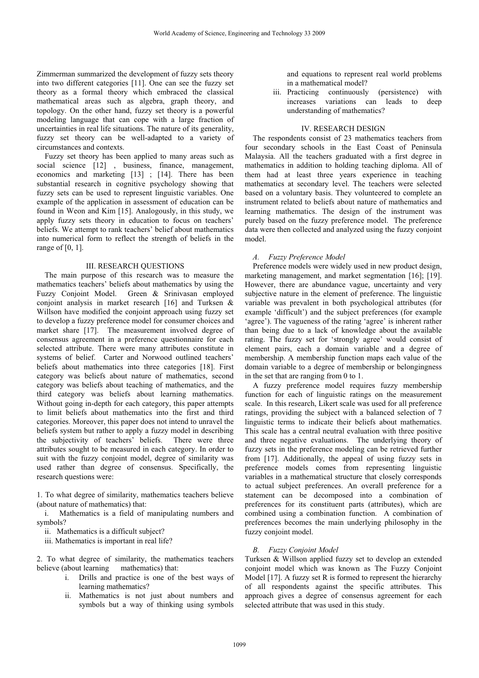Zimmerman summarized the development of fuzzy sets theory into two different categories [11]. One can see the fuzzy set theory as a formal theory which embraced the classical mathematical areas such as algebra, graph theory, and topology. On the other hand, fuzzy set theory is a powerful modeling language that can cope with a large fraction of uncertainties in real life situations. The nature of its generality, fuzzy set theory can be well-adapted to a variety of circumstances and contexts.

Fuzzy set theory has been applied to many areas such as social science [12] , business, finance, management, economics and marketing [13] ; [14]. There has been substantial research in cognitive psychology showing that fuzzy sets can be used to represent linguistic variables. One example of the application in assessment of education can be found in Weon and Kim [15]. Analogously, in this study, we apply fuzzy sets theory in education to focus on teachers' beliefs. We attempt to rank teachers' belief about mathematics into numerical form to reflect the strength of beliefs in the range of [0, 1].

### III. RESEARCH QUESTIONS

The main purpose of this research was to measure the mathematics teachers' beliefs about mathematics by using the Fuzzy Conjoint Model. Green & Srinivasan employed conjoint analysis in market research [16] and Turksen & Willson have modified the conjoint approach using fuzzy set to develop a fuzzy preference model for consumer choices and market share [17]. The measurement involved degree of consensus agreement in a preference questionnaire for each selected attribute. There were many attributes constitute in systems of belief. Carter and Norwood outlined teachers' beliefs about mathematics into three categories [18]. First category was beliefs about nature of mathematics, second category was beliefs about teaching of mathematics, and the third category was beliefs about learning mathematics. Without going in-depth for each category, this paper attempts to limit beliefs about mathematics into the first and third categories. Moreover, this paper does not intend to unravel the beliefs system but rather to apply a fuzzy model in describing the subjectivity of teachers' beliefs. There were three attributes sought to be measured in each category. In order to suit with the fuzzy conjoint model, degree of similarity was used rather than degree of consensus. Specifically, the research questions were:

1. To what degree of similarity, mathematics teachers believe (about nature of mathematics) that:

 i. Mathematics is a field of manipulating numbers and symbols?

## ii. Mathematics is a difficult subject?

iii. Mathematics is important in real life?

2. To what degree of similarity, the mathematics teachers believe (about learning mathematics) that:

- i. Drills and practice is one of the best ways of learning mathematics?
- ii. Mathematics is not just about numbers and symbols but a way of thinking using symbols

and equations to represent real world problems in a mathematical model?

iii. Practicing continuously (persistence) with increases variations can leads to deep understanding of mathematics?

# IV. RESEARCH DESIGN

The respondents consist of 23 mathematics teachers from four secondary schools in the East Coast of Peninsula Malaysia. All the teachers graduated with a first degree in mathematics in addition to holding teaching diploma. All of them had at least three years experience in teaching mathematics at secondary level. The teachers were selected based on a voluntary basis. They volunteered to complete an instrument related to beliefs about nature of mathematics and learning mathematics. The design of the instrument was purely based on the fuzzy preference model. The preference data were then collected and analyzed using the fuzzy conjoint model.

## *A. Fuzzy Preference Model*

Preference models were widely used in new product design, marketing management, and market segmentation [16]; [19]. However, there are abundance vague, uncertainty and very subjective nature in the element of preference. The linguistic variable was prevalent in both psychological attributes (for example 'difficult') and the subject preferences (for example 'agree'). The vagueness of the rating 'agree' is inherent rather than being due to a lack of knowledge about the available rating. The fuzzy set for 'strongly agree' would consist of element pairs, each a domain variable and a degree of membership. A membership function maps each value of the domain variable to a degree of membership or belongingness in the set that are ranging from 0 to 1.

A fuzzy preference model requires fuzzy membership function for each of linguistic ratings on the measurement scale. In this research, Likert scale was used for all preference ratings, providing the subject with a balanced selection of 7 linguistic terms to indicate their beliefs about mathematics. This scale has a central neutral evaluation with three positive and three negative evaluations. The underlying theory of fuzzy sets in the preference modeling can be retrieved further from [17]. Additionally, the appeal of using fuzzy sets in preference models comes from representing linguistic variables in a mathematical structure that closely corresponds to actual subject preferences. An overall preference for a statement can be decomposed into a combination of preferences for its constituent parts (attributes), which are combined using a combination function. A combination of preferences becomes the main underlying philosophy in the fuzzy conjoint model.

# *B. Fuzzy Conjoint Model*

Turksen & Willson applied fuzzy set to develop an extended conjoint model which was known as The Fuzzy Conjoint Model [17]. A fuzzy set R is formed to represent the hierarchy of all respondents against the specific attributes. This approach gives a degree of consensus agreement for each selected attribute that was used in this study.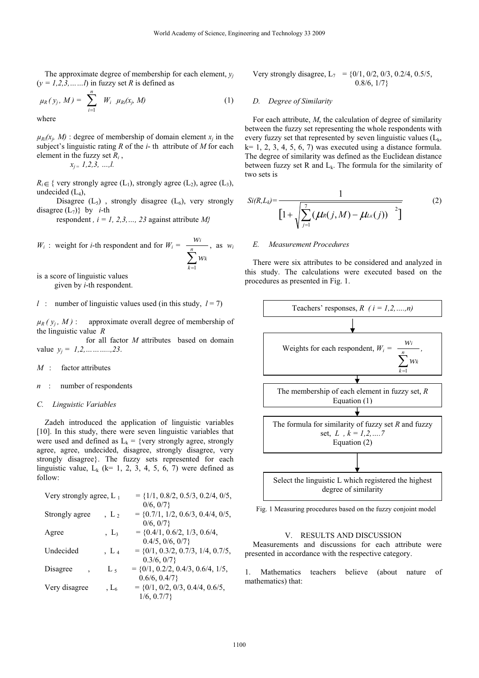The approximate degree of membership for each element,  $y_i$  $(y = 1, 2, 3, \dots, l)$  in fuzzy set *R* is defined as

$$
\mu_R(y_j, M) = \sum_{i=1}^n W_{i} \mu_{Ri}(x_j, M) \tag{1}
$$

where

 $\mu_{Ri}(x_i, M)$ : degree of membership of domain element  $x_i$  in the subject's linguistic rating *R* of the *i*- th attribute of *M* for each element in the fuzzy set *Ri* ,

*xj* <sup>=</sup> *1,2,3, …,l.* 

 $R_i \in \{$  very strongly agree (L<sub>1</sub>), strongly agree (L<sub>2</sub>), agree (L<sub>3</sub>), undecided  $(L_4)$ ,

Disagree  $(L_5)$ , strongly disagree  $(L_6)$ , very strongly disagree  $(L_7)$ } by *i*-th

respondent *, i = 1, 2,3, ..., 23* against attribute  $M_i^2$ 

 $W_i$ : weight for *i*-th respondent and for  $W_i$  =  $\sum_{k=1}^n$ *k k i w w* 1 , as *wi*

is a score of linguistic values

given by *i*-th respondent.

*l* : number of linguistic values used (in this study,  $l = 7$ )

 $\mu_R$  ( $y_i$ , *M*) : approximate overall degree of membership of the linguistic value *R*

 for all factor *M* attributes based on domain value *yj = 1,2,………..,23*.

*M* : factor attributes

#### *n* : number of respondents

### *C. Linguistic Variables*

Zadeh introduced the application of linguistic variables [10]. In this study, there were seven linguistic variables that were used and defined as  $L_k = \{ \text{very strongly agree, strongly} \}$ agree, agree, undecided, disagree, strongly disagree, very strongly disagree}. The fuzzy sets represented for each linguistic value,  $L_k$  (k= 1, 2, 3, 4, 5, 6, 7) were defined as follow:

| Very strongly agree, $L_1$ |                       | $= \{1/1, 0.8/2, 0.5/3, 0.2/4, 0/5,$ |
|----------------------------|-----------------------|--------------------------------------|
|                            |                       | 0/6, 0/7                             |
| Strongly agree             | $\,$ , L <sub>2</sub> | $= \{0.7/1, 1/2, 0.6/3, 0.4/4, 0/5,$ |
|                            |                       | 0/6, 0/7                             |
| Agree                      | $, L_3$               | $= \{0.4/1, 0.6/2, 1/3, 0.6/4,$      |
|                            |                       | 0.4/5, 0/6, 0/7                      |
| Undecided                  | $\,$ , L <sub>4</sub> | $= \{0/1, 0.3/2, 0.7/3, 1/4, 0.7/5,$ |
|                            |                       | 0.3/6, 0/7                           |
| Disagree                   | L,                    | $= \{0/1, 0.2/2, 0.4/3, 0.6/4, 1/5,$ |
|                            |                       | 0.6/6, 0.4/7                         |
| Very disagree              | $, L_6$               | $= \{0/1, 0/2, 0/3, 0.4/4, 0.6/5,$   |
|                            |                       | 1/6, 0.7/7                           |

Very strongly disagree,  $L_7$  = {0/1, 0/2, 0/3, 0.2/4, 0.5/5,  $0.8/6, 1/7$ 

## *D. Degree of Similarity*

For each attribute, *M*, the calculation of degree of similarity between the fuzzy set representing the whole respondents with every fuzzy set that represented by seven linguistic values  $(L_k, L_k)$  $k= 1, 2, 3, 4, 5, 6, 7$  was executed using a distance formula. The degree of similarity was defined as the Euclidean distance between fuzzy set R and  $L_k$ . The formula for the similarity of two sets is

$$
Si(R,L_k) = \frac{1}{\left[1 + \sqrt{\sum_{j=1}^{7} (\mu_R(j,M) - \mu_{Lk}(j))\right]^{2} }\right] }
$$
(2)

## *E. Measurement Procedures*

There were six attributes to be considered and analyzed in this study. The calculations were executed based on the procedures as presented in Fig. 1.



Fig. 1 Measuring procedures based on the fuzzy conjoint model

#### V. RESULTS AND DISCUSSION

Measurements and discussions for each attribute were presented in accordance with the respective category.

1. Mathematics teachers believe (about nature of mathematics) that: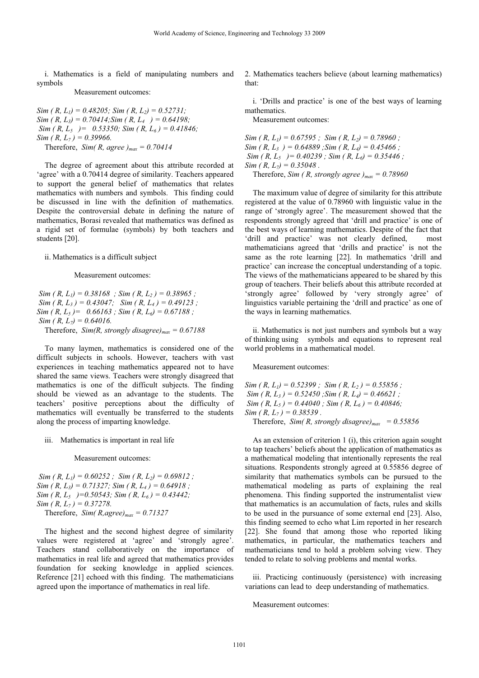i. Mathematics is a field of manipulating numbers and symbols

Measurement outcomes:

*Sim ( R, L<sub>1</sub>) = 0.48205; Sim ( R, L<sub>2</sub>) = 0.52731; Sim ( R, L3) = 0.70414;Sim ( R, L4 ) = 0.64198; Sim ( R, L5 )= 0.53350; Sim ( R, L6 ) = 0.41846; Sim ( R, L7 ) = 0.39966.*  Therefore, *Sim(R, agree)<sub>max</sub>* = 0.70414

The degree of agreement about this attribute recorded at 'agree' with a 0.70414 degree of similarity. Teachers appeared to support the general belief of mathematics that relates mathematics with numbers and symbols. This finding could be discussed in line with the definition of mathematics. Despite the controversial debate in defining the nature of mathematics, Borasi revealed that mathematics was defined as a rigid set of formulae (symbols) by both teachers and students [20].

#### ii. Mathematics is a difficult subject

#### Measurement outcomes:

*Sim ( R, L<sub>1</sub>) = 0.38168 ; Sim ( R, L<sub>2</sub>) = 0.38965 ;*  $Sim(R, L_3) = 0.43047;$   $Sim(R, L_4) = 0.49123;$ *Sim ( R, L5 )= 0.66163 ; Sim ( R, L6) = 0.67188 ; Sim ( R, L<sub>7</sub>) = 0.64016.* 

Therefore,  $Sim(R, strongly disagree)_{max} = 0.67188$ 

To many laymen, mathematics is considered one of the difficult subjects in schools. However, teachers with vast experiences in teaching mathematics appeared not to have shared the same views. Teachers were strongly disagreed that mathematics is one of the difficult subjects. The finding should be viewed as an advantage to the students. The teachers' positive perceptions about the difficulty of mathematics will eventually be transferred to the students along the process of imparting knowledge.

iii. Mathematics is important in real life

#### Measurement outcomes:

 $Sim(R, L_1) = 0.60252$ ;  $Sim(R, L_2) = 0.69812$ ; *Sim ( R, L3) = 0.71327; Sim ( R, L4 ) = 0.64918 ; Sim ( R, L5 )=0.50543; Sim ( R, L6 ) = 0.43442; Sim ( R, L7 ) = 0.37278.*  Therefore,  $Sim(R,agree)_{max} = 0.71327$ 

The highest and the second highest degree of similarity values were registered at 'agree' and 'strongly agree'. Teachers stand collaboratively on the importance of mathematics in real life and agreed that mathematics provides foundation for seeking knowledge in applied sciences. Reference [21] echoed with this finding. The mathematicians agreed upon the importance of mathematics in real life.

2. Mathematics teachers believe (about learning mathematics) that:

 i. 'Drills and practice' is one of the best ways of learning mathematics.

Measurement outcomes:

 $Sim(R, L_1) = 0.67595$ ;  $Sim(R, L_2) = 0.78960$ ;  $Sim(R, L_3) = 0.64889$ ;  $Sim(R, L_4) = 0.45466$ ; *Sim (R, L<sub>5</sub>)* = 0.40239 *; Sim (R, L<sub>6</sub>)* = 0.35446 *; Sim ( R, L<sub>7</sub>) = 0.35048 .* Therefore, *Sim (R, strongly agree )<sub>max</sub>* = 0.78960

The maximum value of degree of similarity for this attribute registered at the value of 0.78960 with linguistic value in the range of 'strongly agree'. The measurement showed that the respondents strongly agreed that 'drill and practice' is one of the best ways of learning mathematics. Despite of the fact that 'drill and practice' was not clearly defined, most mathematicians agreed that 'drills and practice' is not the same as the rote learning [22]. In mathematics 'drill and practice' can increase the conceptual understanding of a topic. The views of the mathematicians appeared to be shared by this group of teachers. Their beliefs about this attribute recorded at 'strongly agree' followed by 'very strongly agree' of linguistics variable pertaining the 'drill and practice' as one of the ways in learning mathematics.

 ii. Mathematics is not just numbers and symbols but a way of thinking using symbols and equations to represent real world problems in a mathematical model.

Measurement outcomes:

*Sim ( R, L1) = 0.52399 ; Sim ( R, L2 ) = 0.55856 ; Sim ( R, L3 ) = 0.52450 ;Sim ( R, L4) = 0.46621 ;*   $Sim(R, L_5) = 0.44040$ ;  $Sim(R, L_6) = 0.40846$ ; *Sim ( R, L<sub>7</sub> ) = 0.38539 .* Therefore,  $Sim(R, strongly disagree)_{max} = 0.55856$ 

As an extension of criterion 1 (i), this criterion again sought to tap teachers' beliefs about the application of mathematics as a mathematical modeling that intentionally represents the real situations. Respondents strongly agreed at 0.55856 degree of similarity that mathematics symbols can be pursued to the mathematical modeling as parts of explaining the real phenomena. This finding supported the instrumentalist view that mathematics is an accumulation of facts, rules and skills to be used in the pursuance of some external end [23]. Also, this finding seemed to echo what Lim reported in her research [22]. She found that among those who reported liking mathematics, in particular, the mathematics teachers and mathematicians tend to hold a problem solving view. They tended to relate to solving problems and mental works.

 iii. Practicing continuously (persistence) with increasing variations can lead to deep understanding of mathematics.

#### Measurement outcomes: